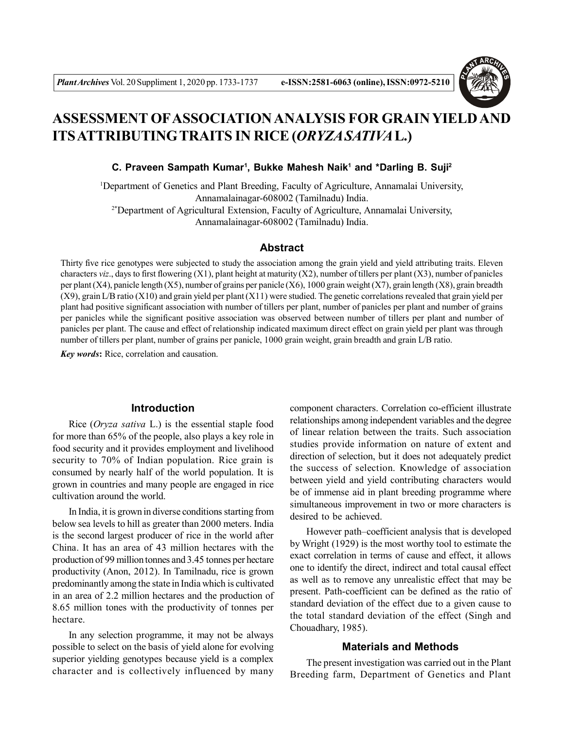

# **ASSESSMENT OFASSOCIATION ANALYSIS FOR GRAIN YIELD AND ITS ATTRIBUTINGTRAITS IN RICE (***ORYZA SATIVA***L.)**

C. Praveen Sampath Kumar<sup>1</sup>, Bukke Mahesh Naik<sup>1</sup> and \*Darling B. Suji<sup>2</sup>

<sup>1</sup>Department of Genetics and Plant Breeding, Faculty of Agriculture, Annamalai University, Annamalainagar-608002 (Tamilnadu) India. 2\*Department of Agricultural Extension, Faculty of Agriculture, Annamalai University, Annamalainagar-608002 (Tamilnadu) India.

# **Abstract**

Thirty five rice genotypes were subjected to study the association among the grain yield and yield attributing traits. Eleven characters *viz*., days to first flowering (X1), plant height at maturity (X2), number of tillers per plant (X3), number of panicles per plant (X4), panicle length (X5), number of grains per panicle (X6), 1000 grain weight (X7), grain length (X8), grain breadth (X9), grain L/B ratio (X10) and grain yield per plant (X11) were studied. The genetic correlations revealed that grain yield per plant had positive significant association with number of tillers per plant, number of panicles per plant and number of grains per panicles while the significant positive association was observed between number of tillers per plant and number of panicles per plant. The cause and effect of relationship indicated maximum direct effect on grain yield per plant was through number of tillers per plant, number of grains per panicle, 1000 grain weight, grain breadth and grain L/B ratio.

*Key words***:** Rice, correlation and causation.

#### **Introduction**

Rice (*Oryza sativa* L.) is the essential staple food for more than 65% of the people, also plays a key role in food security and it provides employment and livelihood security to 70% of Indian population. Rice grain is consumed by nearly half of the world population. It is grown in countries and many people are engaged in rice cultivation around the world.

In India, it is grown in diverse conditions starting from below sea levels to hill as greater than 2000 meters. India is the second largest producer of rice in the world after China. It has an area of 43 million hectares with the production of 99 million tonnes and 3.45 tonnes per hectare productivity (Anon, 2012). In Tamilnadu, rice is grown predominantly among the state in India which is cultivated in an area of 2.2 million hectares and the production of 8.65 million tones with the productivity of tonnes per hectare.

In any selection programme, it may not be always possible to select on the basis of yield alone for evolving superior yielding genotypes because yield is a complex character and is collectively influenced by many

component characters. Correlation co-efficient illustrate relationships among independent variables and the degree of linear relation between the traits. Such association studies provide information on nature of extent and direction of selection, but it does not adequately predict the success of selection. Knowledge of association between yield and yield contributing characters would be of immense aid in plant breeding programme where simultaneous improvement in two or more characters is desired to be achieved.

However path–coefficient analysis that is developed by Wright (1929) is the most worthy tool to estimate the exact correlation in terms of cause and effect, it allows one to identify the direct, indirect and total causal effect as well as to remove any unrealistic effect that may be present. Path-coefficient can be defined as the ratio of standard deviation of the effect due to a given cause to the total standard deviation of the effect (Singh and Chouadhary, 1985).

## **Materials and Methods**

The present investigation was carried out in the Plant Breeding farm, Department of Genetics and Plant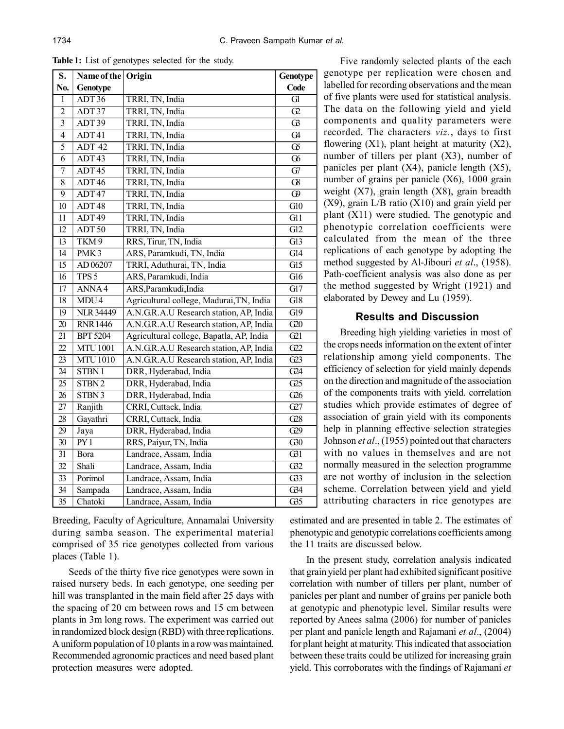| S.              | Name of the       | Origin                                   | Genotype                |
|-----------------|-------------------|------------------------------------------|-------------------------|
| No.             | Genotype          |                                          | Code                    |
| $\mathbf{1}$    | ADT36             | TRRI, TN, India                          | $\overline{Gl}$         |
| $\overline{c}$  | ADT37             | TRRI, TN, India                          | $\overline{C}$          |
| $\overline{3}$  | ADT39             | TRRI, TN, India                          | $\overline{G}$          |
| $\overline{4}$  | ADT41             | TRRI, TN, India                          | G4                      |
| $\overline{5}$  | ADT <sub>42</sub> | TRRI, TN, India                          | $\overline{\mathbb{G}}$ |
| 6               | ADT43             | TRRI, TN, India                          | $\overline{\sigma}$     |
| $\overline{7}$  | ADT <sub>45</sub> | TRRI, TN, India                          | G7                      |
| 8               | ADT46             | TRRI, TN, India                          | $\Omega$                |
| $\overline{9}$  | ADT47             | TRRI, TN, India                          | $\overline{\Theta}$     |
| $\overline{10}$ | ADT <sub>48</sub> | TRRI, TN, India                          | $\overline{G10}$        |
| $\overline{11}$ | ADT <sub>49</sub> | TRRI, TN, India                          | $\overline{G11}$        |
| 12              | ADT 50            | TRRI, TN, India                          | $\overline{GI2}$        |
| $\overline{13}$ | TKM <sub>9</sub>  | RRS, Tirur, TN, India                    | $\overline{G13}$        |
| $\overline{14}$ | PMK <sub>3</sub>  | ARS, Paramkudi, TN, India                | $\overline{Gl4}$        |
| $\overline{15}$ | AD 06207          | TRRI, Aduthurai, TN, India               | $\overline{GI5}$        |
| $\overline{16}$ | TPS <sub>5</sub>  | ARS, Paramkudi, India                    | G16                     |
| $\overline{17}$ | ANNA4             | ARS, Paramkudi, India                    | $\overline{GI7}$        |
| $\overline{18}$ | MDU4              | Agricultural college, Madurai, TN, India | G18                     |
| $\overline{19}$ | <b>NLR 34449</b>  | A.N.G.R.A.U Research station, AP, India  | $\overline{G19}$        |
| $\overline{20}$ | <b>RNR1446</b>    | A.N.G.R.A.U Research station, AP, India  | G20                     |
| $\overline{21}$ | <b>BPT 5204</b>   | Agricultural college, Bapatla, AP, India | $\overline{G21}$        |
| 22              | <b>MTU1001</b>    | A.N.G.R.A.U Research station, AP, India  | G22                     |
| $\overline{23}$ | <b>MTU1010</b>    | A.N.G.R.A.U Research station, AP, India  | $\overline{G23}$        |
| $\overline{24}$ | STBN1             | DRR, Hyderabad, India                    | $\overline{G24}$        |
| $\overline{25}$ | STBN <sub>2</sub> | DRR, Hyderabad, India                    | $\overline{C25}$        |
| 26              | STBN 3            | DRR, Hyderabad, India                    | $\overline{C26}$        |
| 27              | Ranjith           | CRRI, Cuttack, India                     | G27                     |
| $\overline{28}$ | Gayathri          | CRRI, Cuttack, India                     | C28                     |
| $\overline{29}$ | Jaya              | DRR, Hyderabad, India                    | G29                     |
| $\overline{30}$ | $\overline{PY1}$  | RRS, Paiyur, TN, India                   | $\overline{G30}$        |
| $\overline{31}$ | Bora              | Landrace, Assam, India                   | $\overline{G31}$        |
| $\overline{32}$ | Shali             | Landrace, Assam, India                   | G32                     |
| 33              | Porimol           | Landrace, Assam, India                   | G33                     |
| $\overline{34}$ | Sampada           | Landrace, Assam, India                   | G34                     |
| $\overline{35}$ | Chatoki           | Landrace, Assam, India                   | $\overline{G}35$        |

**Table 1:** List of genotypes selected for the study.

Breeding, Faculty of Agriculture, Annamalai University during samba season. The experimental material comprised of 35 rice genotypes collected from various places (Table 1).

Seeds of the thirty five rice genotypes were sown in raised nursery beds. In each genotype, one seeding per hill was transplanted in the main field after 25 days with the spacing of 20 cm between rows and 15 cm between plants in 3m long rows. The experiment was carried out in randomized block design (RBD) with three replications. A uniform population of 10 plants in a row was maintained. Recommended agronomic practices and need based plant protection measures were adopted.

Five randomly selected plants of the each genotype per replication were chosen and labelled for recording observations and the mean of five plants were used for statistical analysis. The data on the following yield and yield components and quality parameters were recorded. The characters *viz.*, days to first flowering  $(X1)$ , plant height at maturity  $(X2)$ , number of tillers per plant (X3), number of panicles per plant  $(X4)$ , panicle length  $(X5)$ , number of grains per panicle (X6), 1000 grain weight (X7), grain length (X8), grain breadth (X9), grain L/B ratio (X10) and grain yield per plant (X11) were studied. The genotypic and phenotypic correlation coefficients were calculated from the mean of the three replications of each genotype by adopting the method suggested by Al-Jibouri *et al*., (1958). Path-coefficient analysis was also done as per the method suggested by Wright (1921) and elaborated by Dewey and Lu (1959).

### **Results and Discussion**

Breeding high yielding varieties in most of the crops needs information on the extent of inter relationship among yield components. The efficiency of selection for yield mainly depends on the direction and magnitude of the association of the components traits with yield. correlation studies which provide estimates of degree of association of grain yield with its components help in planning effective selection strategies Johnson *et al*., (1955) pointed out that characters with no values in themselves and are not normally measured in the selection programme are not worthy of inclusion in the selection scheme. Correlation between yield and yield attributing characters in rice genotypes are

estimated and are presented in table 2. The estimates of phenotypic and genotypic correlations coefficients among the 11 traits are discussed below.

In the present study, correlation analysis indicated that grain yield per plant had exhibited significant positive correlation with number of tillers per plant, number of panicles per plant and number of grains per panicle both at genotypic and phenotypic level. Similar results were reported by Anees salma (2006) for number of panicles per plant and panicle length and Rajamani *et al*., (2004) for plant height at maturity. This indicated that association between these traits could be utilized for increasing grain yield. This corroborates with the findings of Rajamani *et*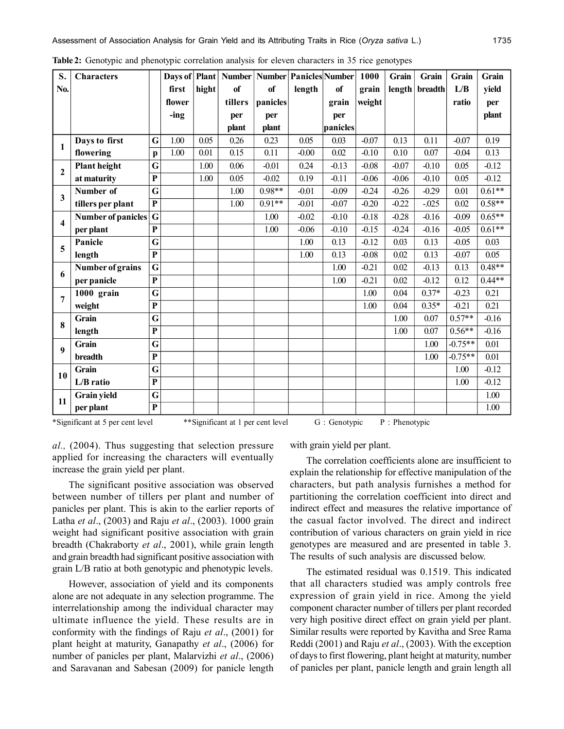| S.                      | <b>Characters</b>   |                         | Days of | Plant |         | Number Number Panicles Number |         |          | 1000    | Grain   | Grain    | Grain     | Grain    |
|-------------------------|---------------------|-------------------------|---------|-------|---------|-------------------------------|---------|----------|---------|---------|----------|-----------|----------|
| No.                     |                     |                         | first   | hight | of      | of                            | length  | of       | grain   | length  | breadth  | L/B       | vield    |
|                         |                     |                         | flower  |       | tillers | panicles                      |         | grain    | weight  |         |          | ratio     | per      |
|                         |                     |                         | $-$ ing |       | per     | per                           |         | per      |         |         |          |           | plant    |
|                         |                     |                         |         |       | plant   | plant                         |         | panicles |         |         |          |           |          |
| 1                       | Days to first       | G                       | 1.00    | 0.05  | 0.26    | 0.23                          | 0.05    | 0.03     | $-0.07$ | 0.13    | 0.11     | $-0.07$   | 0.19     |
|                         | flowering           | $\mathbf{p}$            | 1.00    | 0.01  | 0.15    | 0.11                          | $-0.00$ | 0.02     | $-0.10$ | 0.10    | 0.07     | $-0.04$   | 0.13     |
| $\mathbf{2}$            | <b>Plant height</b> | G                       |         | 1.00  | 0.06    | $-0.01$                       | 0.24    | $-0.13$  | $-0.08$ | $-0.07$ | $-0.10$  | 0.05      | $-0.12$  |
|                         | at maturity         | $\overline{\mathbf{P}}$ |         | 1.00  | 0.05    | $-0.02$                       | 0.19    | $-0.11$  | $-0.06$ | $-0.06$ | $-0.10$  | 0.05      | $-0.12$  |
| 3                       | Number of           | G                       |         |       | 1.00    | $0.98**$                      | $-0.01$ | $-0.09$  | $-0.24$ | $-0.26$ | $-0.29$  | 0.01      | $0.61**$ |
|                         | tillers per plant   | $\mathbf{P}$            |         |       | 1.00    | $0.91**$                      | $-0.01$ | $-0.07$  | $-0.20$ | $-0.22$ | $-0.025$ | 0.02      | $0.58**$ |
| $\overline{\mathbf{4}}$ | Number of panicles  | $\mathbf G$             |         |       |         | 1.00                          | $-0.02$ | $-0.10$  | $-0.18$ | $-0.28$ | $-0.16$  | $-0.09$   | $0.65**$ |
|                         | per plant           | $\overline{\mathbf{P}}$ |         |       |         | 1.00                          | $-0.06$ | $-0.10$  | $-0.15$ | $-0.24$ | $-0.16$  | $-0.05$   | $0.61**$ |
| 5                       | Panicle             | G                       |         |       |         |                               | 1.00    | 0.13     | $-0.12$ | 0.03    | 0.13     | $-0.05$   | 0.03     |
|                         | length              | $\overline{\mathbf{P}}$ |         |       |         |                               | 1.00    | 0.13     | $-0.08$ | 0.02    | 0.13     | $-0.07$   | 0.05     |
| 6                       | Number of grains    | G                       |         |       |         |                               |         | 1.00     | $-0.21$ | 0.02    | $-0.13$  | 0.13      | $0.48**$ |
|                         | per panicle         | $\overline{\mathbf{P}}$ |         |       |         |                               |         | 1.00     | $-0.21$ | 0.02    | $-0.12$  | 0.12      | $0.44**$ |
| $\overline{7}$          | 1000 grain          | G                       |         |       |         |                               |         |          | 1.00    | 0.04    | $0.37*$  | $-0.23$   | 0.21     |
|                         | weight              | $\overline{\mathbf{P}}$ |         |       |         |                               |         |          | 1.00    | 0.04    | $0.35*$  | $-0.21$   | 0.21     |
| 8                       | Grain               | G                       |         |       |         |                               |         |          |         | 1.00    | 0.07     | $0.57**$  | $-0.16$  |
|                         | length              | $\overline{\mathbf{P}}$ |         |       |         |                               |         |          |         | 1.00    | 0.07     | $0.56**$  | $-0.16$  |
| 9                       | Grain               | G                       |         |       |         |                               |         |          |         |         | 1.00     | $-0.75**$ | 0.01     |
|                         | breadth             | $\overline{\mathbf{P}}$ |         |       |         |                               |         |          |         |         | 1.00     | $-0.75**$ | 0.01     |
| 10                      | Grain               | G                       |         |       |         |                               |         |          |         |         |          | 1.00      | $-0.12$  |
|                         | L/B ratio           | $\overline{\mathbf{P}}$ |         |       |         |                               |         |          |         |         |          | 1.00      | $-0.12$  |
| 11                      | <b>Grain yield</b>  | G                       |         |       |         |                               |         |          |         |         |          |           | 1.00     |
|                         | per plant           | $\overline{\mathbf{P}}$ |         |       |         |                               |         |          |         |         |          |           | 1.00     |

**Table 2:** Genotypic and phenotypic correlation analysis for eleven characters in 35 rice genotypes

\*Significant at 5 per cent level \*\*Significant at 1 per cent level G : Genotypic P : Phenotypic

*al.,* (2004). Thus suggesting that selection pressure applied for increasing the characters will eventually increase the grain yield per plant.

The significant positive association was observed between number of tillers per plant and number of panicles per plant. This is akin to the earlier reports of Latha *et al*., (2003) and Raju *et al*., (2003). 1000 grain weight had significant positive association with grain breadth (Chakraborty *et al*., 2001), while grain length and grain breadth had significant positive association with grain L/B ratio at both genotypic and phenotypic levels.

However, association of yield and its components alone are not adequate in any selection programme. The interrelationship among the individual character may ultimate influence the yield. These results are in conformity with the findings of Raju *et al*., (2001) for plant height at maturity, Ganapathy *et al*., (2006) for number of panicles per plant, Malarvizhi *et al*., (2006) and Saravanan and Sabesan (2009) for panicle length with grain yield per plant.

The correlation coefficients alone are insufficient to explain the relationship for effective manipulation of the characters, but path analysis furnishes a method for partitioning the correlation coefficient into direct and indirect effect and measures the relative importance of the casual factor involved. The direct and indirect contribution of various characters on grain yield in rice genotypes are measured and are presented in table 3. The results of such analysis are discussed below.

The estimated residual was 0.1519. This indicated that all characters studied was amply controls free expression of grain yield in rice. Among the yield component character number of tillers per plant recorded very high positive direct effect on grain yield per plant. Similar results were reported by Kavitha and Sree Rama Reddi (2001) and Raju *et al*., (2003). With the exception of days to first flowering, plant height at maturity, number of panicles per plant, panicle length and grain length all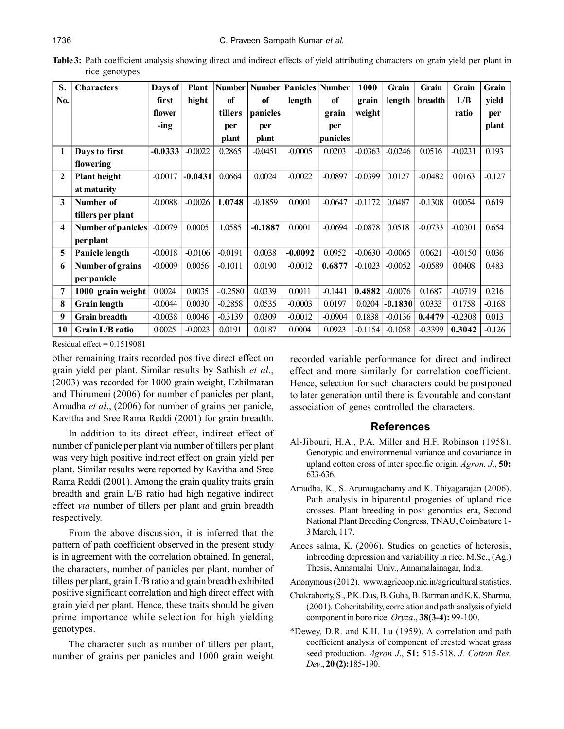**Table 3:** Path coefficient analysis showing direct and indirect effects of yield attributing characters on grain yield per plant in rice genotypes

| S.           | <b>Characters</b>    | Days of   | <b>Plant</b> | <b>Number</b> | <b>Number</b> | Panicles Number |           | 1000      | Grain     | Grain     | Grain     | Grain    |
|--------------|----------------------|-----------|--------------|---------------|---------------|-----------------|-----------|-----------|-----------|-----------|-----------|----------|
| No.          |                      | first     | hight        | of            | of            | length          | of        | grain     | length    | breadth   | L/B       | yield    |
|              |                      | flower    |              | tillers       | panicles      |                 | grain     | weight    |           |           | ratio     | per      |
|              |                      | -ing      |              | per           | per           |                 | per       |           |           |           |           | plant    |
|              |                      |           |              | plant         | plant         |                 | panicles  |           |           |           |           |          |
| 1            | Days to first        | $-0.0333$ | $-0.0022$    | 0.2865        | $-0.0451$     | $-0.0005$       | 0.0203    | $-0.0363$ | $-0.0246$ | 0.0516    | $-0.0231$ | 0.193    |
|              | flowering            |           |              |               |               |                 |           |           |           |           |           |          |
| $\mathbf{2}$ | <b>Plant height</b>  | $-0.0017$ | $-0.0431$    | 0.0664        | 0.0024        | $-0.0022$       | $-0.0897$ | $-0.0399$ | 0.0127    | $-0.0482$ | 0.0163    | $-0.127$ |
|              | at maturity          |           |              |               |               |                 |           |           |           |           |           |          |
| 3            | Number of            | $-0.0088$ | $-0.0026$    | 1.0748        | $-0.1859$     | 0.0001          | $-0.0647$ | $-0.1172$ | 0.0487    | $-0.1308$ | 0.0054    | 0.619    |
|              | tillers per plant    |           |              |               |               |                 |           |           |           |           |           |          |
| 4            | Number of panicles   | $-0.0079$ | 0.0005       | 1.0585        | $-0.1887$     | 0.0001          | $-0.0694$ | $-0.0878$ | 0.0518    | $-0.0733$ | $-0.0301$ | 0.654    |
|              | per plant            |           |              |               |               |                 |           |           |           |           |           |          |
| 5            | Panicle length       | $-0.0018$ | $-0.0106$    | $-0.0191$     | 0.0038        | $-0.0092$       | 0.0952    | $-0.0630$ | $-0.0065$ | 0.0621    | $-0.0150$ | 0.036    |
| 6            | Number of grains     | $-0.0009$ | 0.0056       | $-0.1011$     | 0.0190        | $-0.0012$       | 0.6877    | $-0.1023$ | $-0.0052$ | $-0.0589$ | 0.0408    | 0.483    |
|              | per panicle          |           |              |               |               |                 |           |           |           |           |           |          |
| 7            | 1000 grain weight    | 0.0024    | 0.0035       | $-0.2580$     | 0.0339        | 0.0011          | $-0.1441$ | 0.4882    | $-0.0076$ | 0.1687    | $-0.0719$ | 0.216    |
| 8            | <b>Grain</b> length  | $-0.0044$ | 0.0030       | $-0.2858$     | 0.0535        | $-0.0003$       | 0.0197    | 0.0204    | $-0.1830$ | 0.0333    | 0.1758    | $-0.168$ |
| 9            | <b>Grain</b> breadth | $-0.0038$ | 0.0046       | $-0.3139$     | 0.0309        | $-0.0012$       | $-0.0904$ | 0.1838    | $-0.0136$ | 0.4479    | $-0.2308$ | 0.013    |
| 10           | Grain L/B ratio      | 0.0025    | $-0.0023$    | 0.0191        | 0.0187        | 0.0004          | 0.0923    | -0.1154   | $-0.1058$ | $-0.3399$ | 0.3042    | $-0.126$ |

Residual effect  $= 0.1519081$ 

other remaining traits recorded positive direct effect on grain yield per plant. Similar results by Sathish *et al*., (2003) was recorded for 1000 grain weight, Ezhilmaran and Thirumeni (2006) for number of panicles per plant, Amudha *et al*., (2006) for number of grains per panicle, Kavitha and Sree Rama Reddi (2001) for grain breadth.

In addition to its direct effect, indirect effect of number of panicle per plant via number of tillers per plant was very high positive indirect effect on grain yield per plant. Similar results were reported by Kavitha and Sree Rama Reddi (2001). Among the grain quality traits grain breadth and grain L/B ratio had high negative indirect effect *via* number of tillers per plant and grain breadth respectively.

From the above discussion, it is inferred that the pattern of path coefficient observed in the present study is in agreement with the correlation obtained. In general, the characters, number of panicles per plant, number of tillers per plant, grain L/B ratio and grain breadth exhibited positive significant correlation and high direct effect with grain yield per plant. Hence, these traits should be given prime importance while selection for high yielding genotypes.

The character such as number of tillers per plant, number of grains per panicles and 1000 grain weight recorded variable performance for direct and indirect effect and more similarly for correlation coefficient. Hence, selection for such characters could be postponed to later generation until there is favourable and constant association of genes controlled the characters.

### **References**

- Al-Jibouri, H.A., P.A. Miller and H.F. Robinson (1958). Genotypic and environmental variance and covariance in upland cotton cross of inter specific origin. *Agron. J*., **50:** 633-636.
- Amudha, K., S. Arumugachamy and K. Thiyagarajan (2006). Path analysis in biparental progenies of upland rice crosses. Plant breeding in post genomics era, Second National Plant Breeding Congress, TNAU, Coimbatore 1- 3 March, 117.
- Anees salma, K. (2006). Studies on genetics of heterosis, inbreeding depression and variability in rice. M.Sc., (Ag.) Thesis, Annamalai Univ., Annamalainagar, India.
- Anonymous (2012). www.agricoop.nic.in/agricultural statistics.
- Chakraborty, S., P.K. Das, B. Guha, B. Barman and K.K. Sharma, (2001). Coheritability, correlation and path analysis of yield component in boro rice. *Oryza*., **38(3-4):** 99-100.
- \*Dewey, D.R. and K.H. Lu (1959). A correlation and path coefficient analysis of component of crested wheat grass seed production. *Agron J*., **51:** 515-518. *J. Cotton Res. Dev*., **20 (2):**185-190.